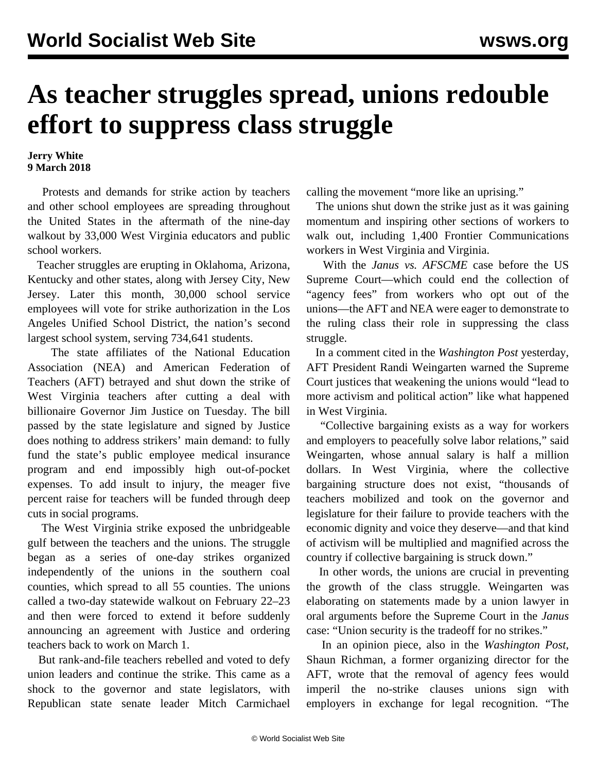## **As teacher struggles spread, unions redouble effort to suppress class struggle**

## **Jerry White 9 March 2018**

 Protests and demands for strike action by teachers and other school employees are spreading throughout the United States in the aftermath of the nine-day walkout by 33,000 West Virginia educators and public school workers.

 Teacher struggles are erupting in Oklahoma, Arizona, Kentucky and other states, along with Jersey City, New Jersey. Later this month, 30,000 school service employees will vote for strike authorization in the Los Angeles Unified School District, the nation's second largest school system, serving 734,641 students.

 The state affiliates of the National Education Association (NEA) and American Federation of Teachers (AFT) betrayed and shut down the strike of West Virginia teachers after cutting a deal with billionaire Governor Jim Justice on Tuesday. The bill passed by the state legislature and signed by Justice does nothing to address strikers' main demand: to fully fund the state's public employee medical insurance program and end impossibly high out-of-pocket expenses. To add insult to injury, the meager five percent raise for teachers will be funded through deep cuts in social programs.

 The West Virginia strike exposed the unbridgeable gulf between the teachers and the unions. The struggle began as a series of one-day strikes organized independently of the unions in the southern coal counties, which spread to all 55 counties. The unions called a two-day statewide walkout on February 22–23 and then were forced to extend it before suddenly announcing an agreement with Justice and ordering teachers back to work on March 1.

 But rank-and-file teachers rebelled and voted to defy union leaders and continue the strike. This came as a shock to the governor and state legislators, with Republican state senate leader Mitch Carmichael calling the movement "more like an uprising."

 The unions shut down the strike just as it was gaining momentum and inspiring other sections of workers to walk out, including 1,400 Frontier Communications workers in West Virginia and Virginia.

 With the *Janus vs. AFSCME* case before the US Supreme Court—which could end the collection of "agency fees" from workers who opt out of the unions—the AFT and NEA were eager to demonstrate to the ruling class their role in suppressing the class struggle.

 In a comment cited in the *Washington Post* yesterday, AFT President Randi Weingarten warned the Supreme Court justices that weakening the unions would "lead to more activism and political action" like what happened in West Virginia.

 "Collective bargaining exists as a way for workers and employers to peacefully solve labor relations," said Weingarten, whose annual salary is half a million dollars. In West Virginia, where the collective bargaining structure does not exist, "thousands of teachers mobilized and took on the governor and legislature for their failure to provide teachers with the economic dignity and voice they deserve—and that kind of activism will be multiplied and magnified across the country if collective bargaining is struck down."

 In other words, the unions are crucial in preventing the growth of the class struggle. Weingarten was elaborating on statements made by a union lawyer in oral arguments before the Supreme Court in the *Janus* case: "Union security is the tradeoff for no strikes."

 In an opinion piece, also in the *Washington Post*, Shaun Richman, a former organizing director for the AFT, wrote that the removal of agency fees would imperil the no-strike clauses unions sign with employers in exchange for legal recognition. "The